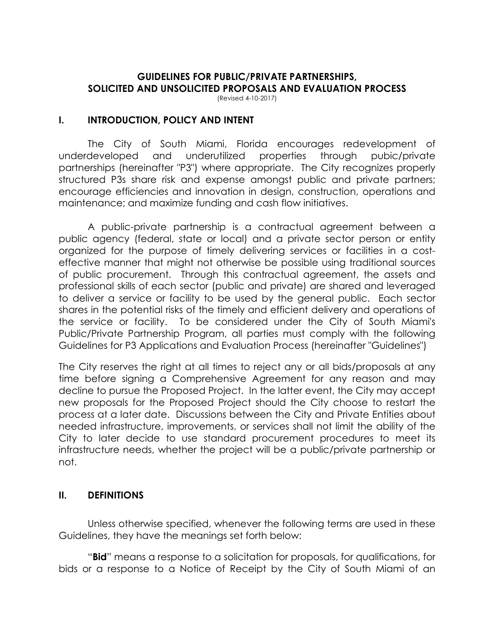### **GUIDELINES FOR PUBLIC/PRIVATE PARTNERSHIPS, SOLICITED AND UNSOLICITED PROPOSALS AND EVALUATION PROCESS**

(Revised 4-10-2017)

#### **I. INTRODUCTION, POLICY AND INTENT**

The City of South Miami, Florida encourages redevelopment of underdeveloped and underutilized properties through pubic/private partnerships (hereinafter "P3") where appropriate. The City recognizes properly structured P3s share risk and expense amongst public and private partners; encourage efficiencies and innovation in design, construction, operations and maintenance; and maximize funding and cash flow initiatives.

A public-private partnership is a contractual agreement between a public agency (federal, state or local) and a private sector person or entity organized for the purpose of timely delivering services or facilities in a costeffective manner that might not otherwise be possible using traditional sources of public procurement. Through this contractual agreement, the assets and professional skills of each sector (public and private) are shared and leveraged to deliver a service or facility to be used by the general public. Each sector shares in the potential risks of the timely and efficient delivery and operations of the service or facility. To be considered under the City of South Miami's Public/Private Partnership Program, all parties must comply with the following Guidelines for P3 Applications and Evaluation Process (hereinafter "Guidelines")

The City reserves the right at all times to reject any or all bids/proposals at any time before signing a Comprehensive Agreement for any reason and may decline to pursue the Proposed Project. In the latter event, the City may accept new proposals for the Proposed Project should the City choose to restart the process at a later date. Discussions between the City and Private Entities about needed infrastructure, improvements, or services shall not limit the ability of the City to later decide to use standard procurement procedures to meet its infrastructure needs, whether the project will be a public/private partnership or not.

#### **II. DEFINITIONS**

Unless otherwise specified, whenever the following terms are used in these Guidelines, they have the meanings set forth below:

"**Bid**" means a response to a solicitation for proposals, for qualifications, for bids or a response to a Notice of Receipt by the City of South Miami of an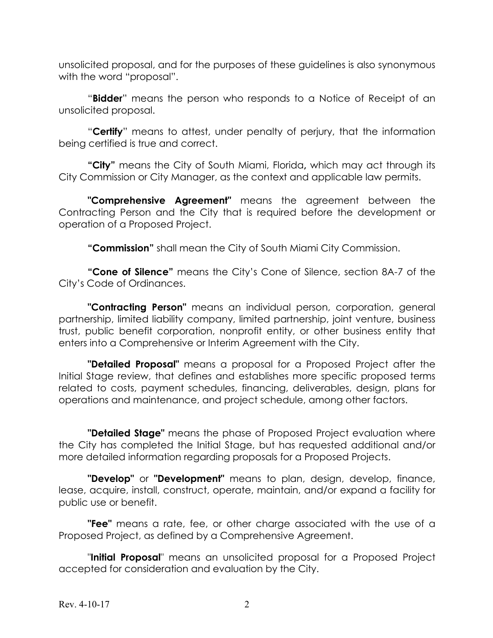unsolicited proposal, and for the purposes of these guidelines is also synonymous with the word "proposal".

"**Bidder**" means the person who responds to a Notice of Receipt of an unsolicited proposal.

"**Certify**" means to attest, under penalty of perjury, that the information being certified is true and correct.

**"City"** means the City of South Miami, Florida**,** which may act through its City Commission or City Manager, as the context and applicable law permits.

**"Comprehensive Agreement"** means the agreement between the Contracting Person and the City that is required before the development or operation of a Proposed Project.

**"Commission"** shall mean the City of South Miami City Commission.

**"Cone of Silence"** means the City's Cone of Silence, section 8A-7 of the City's Code of Ordinances.

**"Contracting Person"** means an individual person, corporation, general partnership, limited liability company, limited partnership, joint venture, business trust, public benefit corporation, nonprofit entity, or other business entity that enters into a Comprehensive or Interim Agreement with the City.

**"Detailed Proposal"** means a proposal for a Proposed Project after the Initial Stage review, that defines and establishes more specific proposed terms related to costs, payment schedules, financing, deliverables, design, plans for operations and maintenance, and project schedule, among other factors.

**"Detailed Stage"** means the phase of Proposed Project evaluation where the City has completed the Initial Stage, but has requested additional and/or more detailed information regarding proposals for a Proposed Projects.

**"Develop"** or **"Development"** means to plan, design, develop, finance, lease, acquire, install, construct, operate, maintain, and/or expand a facility for public use or benefit.

**"Fee"** means a rate, fee, or other charge associated with the use of a Proposed Project, as defined by a Comprehensive Agreement.

"**Initial Proposal**" means an unsolicited proposal for a Proposed Project accepted for consideration and evaluation by the City.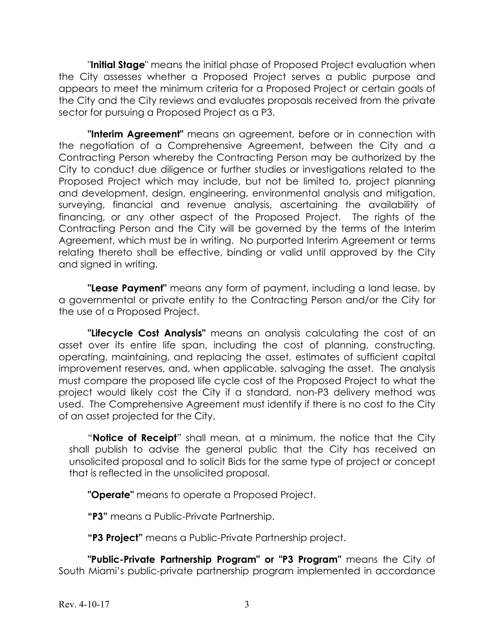"**Initial Stage**" means the initial phase of Proposed Project evaluation when the City assesses whether a Proposed Project serves a public purpose and appears to meet the minimum criteria for a Proposed Project or certain goals of the City and the City reviews and evaluates proposals received from the private sector for pursuing a Proposed Project as a P3.

**"Interim Agreement"** means an agreement, before or in connection with the negotiation of a Comprehensive Agreement, between the City and a Contracting Person whereby the Contracting Person may be authorized by the City to conduct due diligence or further studies or investigations related to the Proposed Project which may include, but not be limited to, project planning and development, design, engineering, environmental analysis and mitigation, surveying, financial and revenue analysis, ascertaining the availability of financing, or any other aspect of the Proposed Project. The rights of the Contracting Person and the City will be governed by the terms of the Interim Agreement, which must be in writing. No purported Interim Agreement or terms relating thereto shall be effective, binding or valid until approved by the City and signed in writing.

**"Lease Payment"** means any form of payment, including a land lease, by a governmental or private entity to the Contracting Person and/or the City for the use of a Proposed Project.

**"Lifecycle Cost Analysis"** means an analysis calculating the cost of an asset over its entire life span, including the cost of planning, constructing, operating, maintaining, and replacing the asset, estimates of sufficient capital improvement reserves, and, when applicable, salvaging the asset. The analysis must compare the proposed life cycle cost of the Proposed Project to what the project would likely cost the City if a standard, non-P3 delivery method was used. The Comprehensive Agreement must identify if there is no cost to the City of an asset projected for the City.

"**Notice of Receipt**" shall mean, at a minimum, the notice that the City shall publish to advise the general public that the City has received an unsolicited proposal and to solicit Bids for the same type of project or concept that is reflected in the unsolicited proposal.

**"Operate"** means to operate a Proposed Project.

**"P3"** means a Public-Private Partnership.

**"P3 Project"** means a Public-Private Partnership project.

**"Public-Private Partnership Program" or "P3 Program"** means the City of South Miami's public-private partnership program implemented in accordance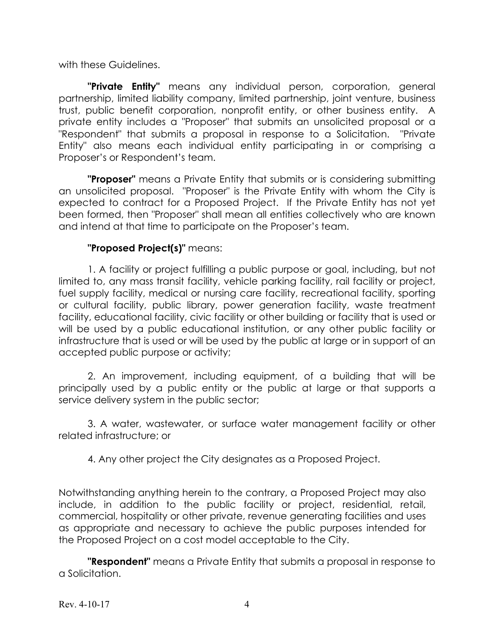with these Guidelines.

**"Private Entity"** means any individual person, corporation, general partnership, limited liability company, limited partnership, joint venture, business trust, public benefit corporation, nonprofit entity, or other business entity. A private entity includes a "Proposer" that submits an unsolicited proposal or a "Respondent" that submits a proposal in response to a Solicitation. "Private Entity" also means each individual entity participating in or comprising a Proposer's or Respondent's team.

**"Proposer"** means a Private Entity that submits or is considering submitting an unsolicited proposal. "Proposer" is the Private Entity with whom the City is expected to contract for a Proposed Project. If the Private Entity has not yet been formed, then "Proposer" shall mean all entities collectively who are known and intend at that time to participate on the Proposer's team.

### **"Proposed Project(s)"** means:

1. A facility or project fulfilling a public purpose or goal, including, but not limited to, any mass transit facility, vehicle parking facility, rail facility or project, fuel supply facility, medical or nursing care facility, recreational facility, sporting or cultural facility, public library, power generation facility, waste treatment facility, educational facility, civic facility or other building or facility that is used or will be used by a public educational institution, or any other public facility or infrastructure that is used or will be used by the public at large or in support of an accepted public purpose or activity;

2. An improvement, including equipment, of a building that will be principally used by a public entity or the public at large or that supports a service delivery system in the public sector;

3. A water, wastewater, or surface water management facility or other related infrastructure; or

4. Any other project the City designates as a Proposed Project.

Notwithstanding anything herein to the contrary, a Proposed Project may also include, in addition to the public facility or project, residential, retail, commercial, hospitality or other private, revenue generating facilities and uses as appropriate and necessary to achieve the public purposes intended for the Proposed Project on a cost model acceptable to the City.

**"Respondent"** means a Private Entity that submits a proposal in response to a Solicitation.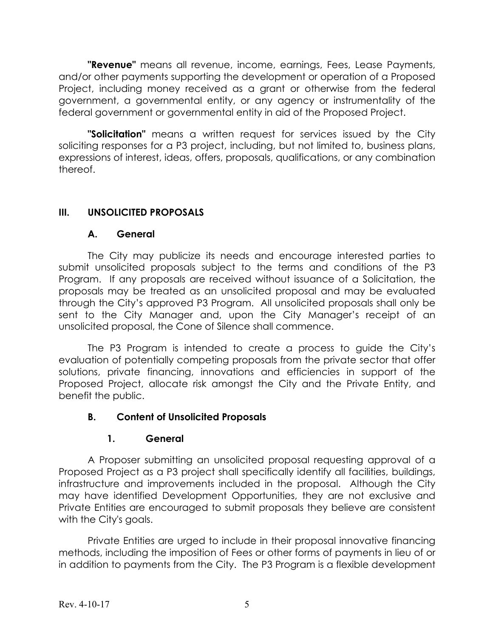**"Revenue"** means all revenue, income, earnings, Fees, Lease Payments, and/or other payments supporting the development or operation of a Proposed Project, including money received as a grant or otherwise from the federal government, a governmental entity, or any agency or instrumentality of the federal government or governmental entity in aid of the Proposed Project.

**"Solicitation"** means a written request for services issued by the City soliciting responses for a P3 project, including, but not limited to, business plans, expressions of interest, ideas, offers, proposals, qualifications, or any combination thereof.

# **III. UNSOLICITED PROPOSALS**

#### **A. General**

The City may publicize its needs and encourage interested parties to submit unsolicited proposals subject to the terms and conditions of the P3 Program. If any proposals are received without issuance of a Solicitation, the proposals may be treated as an unsolicited proposal and may be evaluated through the City's approved P3 Program. All unsolicited proposals shall only be sent to the City Manager and, upon the City Manager's receipt of an unsolicited proposal, the Cone of Silence shall commence.

The P3 Program is intended to create a process to guide the City's evaluation of potentially competing proposals from the private sector that offer solutions, private financing, innovations and efficiencies in support of the Proposed Project, allocate risk amongst the City and the Private Entity, and benefit the public.

#### **B. Content of Unsolicited Proposals**

# **1. General**

A Proposer submitting an unsolicited proposal requesting approval of a Proposed Project as a P3 project shall specifically identify all facilities, buildings, infrastructure and improvements included in the proposal. Although the City may have identified Development Opportunities, they are not exclusive and Private Entities are encouraged to submit proposals they believe are consistent with the City's goals.

Private Entities are urged to include in their proposal innovative financing methods, including the imposition of Fees or other forms of payments in lieu of or in addition to payments from the City. The P3 Program is a flexible development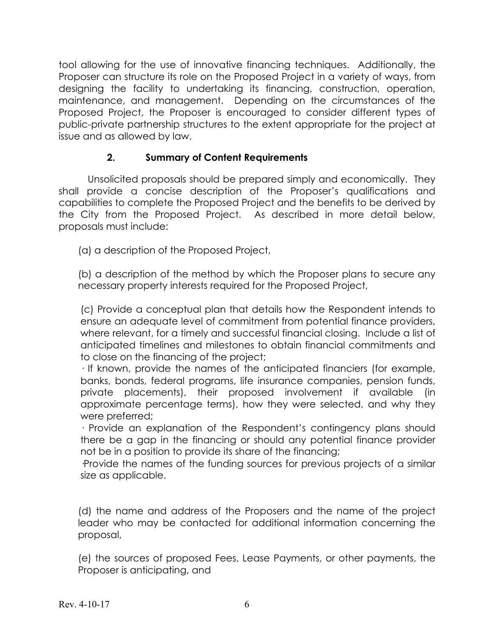tool allowing for the use of innovative financing techniques. Additionally, the Proposer can structure its role on the Proposed Project in a variety of ways, from designing the facility to undertaking its financing, construction, operation, maintenance, and management. Depending on the circumstances of the Proposed Project, the Proposer is encouraged to consider different types of public-private partnership structures to the extent appropriate for the project at issue and as allowed by law.

### **2. Summary of Content Requirements**

Unsolicited proposals should be prepared simply and economically. They shall provide a concise description of the Proposer's qualifications and capabilities to complete the Proposed Project and the benefits to be derived by the City from the Proposed Project. As described in more detail below, proposals must include:

(a) a description of the Proposed Project,

(b) a description of the method by which the Proposer plans to secure any necessary property interests required for the Proposed Project,

(c) Provide a conceptual plan that details how the Respondent intends to ensure an adequate level of commitment from potential finance providers, where relevant, for a timely and successful financial closing. Include a list of anticipated timelines and milestones to obtain financial commitments and to close on the financing of the project;

· If known, provide the names of the anticipated financiers (for example, banks, bonds, federal programs, life insurance companies, pension funds, private placements), their proposed involvement if available (in approximate percentage terms), how they were selected, and why they were preferred;

· Provide an explanation of the Respondent's contingency plans should there be a gap in the financing or should any potential finance provider not be in a position to provide its share of the financing;

·Provide the names of the funding sources for previous projects of a similar size as applicable.

(d) the name and address of the Proposers and the name of the project leader who may be contacted for additional information concerning the proposal,

(e) the sources of proposed Fees, Lease Payments, or other payments, the Proposer is anticipating, and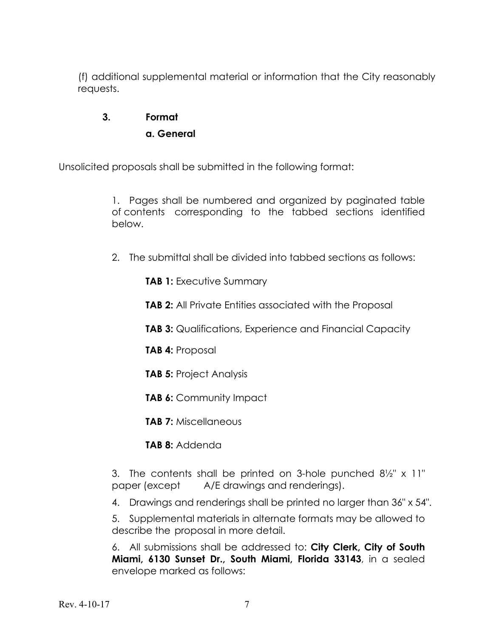(f) additional supplemental material or information that the City reasonably requests.

# **3. Format a. General**

Unsolicited proposals shall be submitted in the following format:

1. Pages shall be numbered and organized by paginated table of contents corresponding to the tabbed sections identified below.

- 2. The submittal shall be divided into tabbed sections as follows:
	- **TAB 1:** Executive Summary
	- **TAB 2:** All Private Entities associated with the Proposal
	- **TAB 3:** Qualifications, Experience and Financial Capacity
	- **TAB 4:** Proposal
	- **TAB 5: Project Analysis**
	- **TAB 6: Community Impact**
	- **TAB 7:** Miscellaneous
	- **TAB 8:** Addenda
- 3. The contents shall be printed on 3-hole punched  $8\frac{1}{2}$ " x 11" paper (except A/E drawings and renderings).
- 4. Drawings and renderings shall be printed no larger than 36" x 54".

5. Supplemental materials in alternate formats may be allowed to describe the proposal in more detail.

6. All submissions shall be addressed to: **City Clerk, City of South Miami, 6130 Sunset Dr., South Miami, Florida 33143**, in a sealed envelope marked as follows: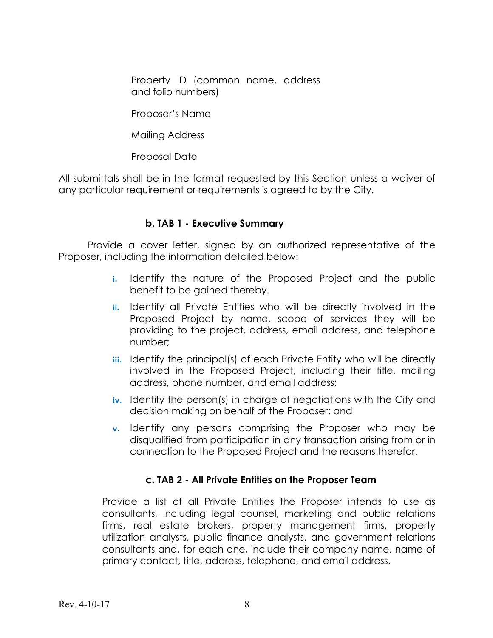Property ID (common name, address and folio numbers)

Proposer's Name

Mailing Address

Proposal Date

All submittals shall be in the format requested by this Section unless a waiver of any particular requirement or requirements is agreed to by the City.

#### **b. TAB 1 - Executive Summary**

Provide a cover letter, signed by an authorized representative of the Proposer, including the information detailed below:

- **i.** Identify the nature of the Proposed Project and the public benefit to be gained thereby.
- **ii.** Identify all Private Entities who will be directly involved in the Proposed Project by name, scope of services they will be providing to the project, address, email address, and telephone number;
- **iii.** Identify the principal(s) of each Private Entity who will be directly involved in the Proposed Project, including their title, mailing address, phone number, and email address;
- **iv.** Identify the person(s) in charge of negotiations with the City and decision making on behalf of the Proposer; and
- **v.** Identify any persons comprising the Proposer who may be disqualified from participation in any transaction arising from or in connection to the Proposed Project and the reasons therefor.

#### **c. TAB 2 - All Private Entities on the Proposer Team**

Provide a list of all Private Entities the Proposer intends to use as consultants, including legal counsel, marketing and public relations firms, real estate brokers, property management firms, property utilization analysts, public finance analysts, and government relations consultants and, for each one, include their company name, name of primary contact, title, address, telephone, and email address.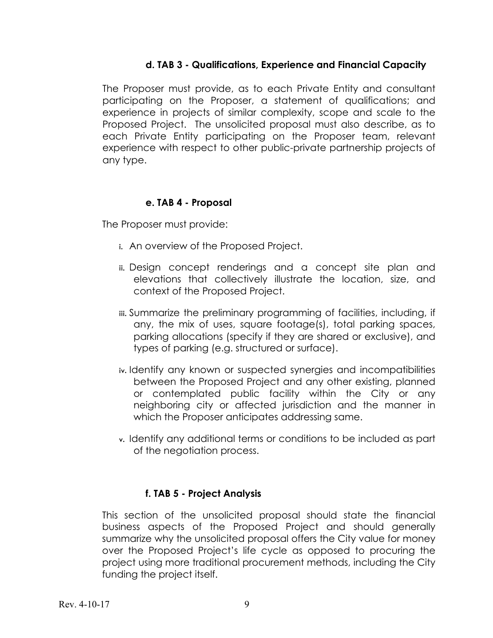#### **d. TAB 3 - Qualifications, Experience and Financial Capacity**

The Proposer must provide, as to each Private Entity and consultant participating on the Proposer, a statement of qualifications; and experience in projects of similar complexity, scope and scale to the Proposed Project. The unsolicited proposal must also describe, as to each Private Entity participating on the Proposer team, relevant experience with respect to other public-private partnership projects of any type.

#### **e. TAB 4 - Proposal**

The Proposer must provide:

- i. An overview of the Proposed Project.
- ii. Design concept renderings and a concept site plan and elevations that collectively illustrate the location, size, and context of the Proposed Project.
- iii. Summarize the preliminary programming of facilities, including, if any, the mix of uses, square footage(s), total parking spaces, parking allocations (specify if they are shared or exclusive), and types of parking (e.g. structured or surface).
- iv. Identify any known or suspected synergies and incompatibilities between the Proposed Project and any other existing, planned or contemplated public facility within the City or any neighboring city or affected jurisdiction and the manner in which the Proposer anticipates addressing same.
- v. Identify any additional terms or conditions to be included as part of the negotiation process.

#### **f. TAB 5 - Project Analysis**

This section of the unsolicited proposal should state the financial business aspects of the Proposed Project and should generally summarize why the unsolicited proposal offers the City value for money over the Proposed Project's life cycle as opposed to procuring the project using more traditional procurement methods, including the City funding the project itself.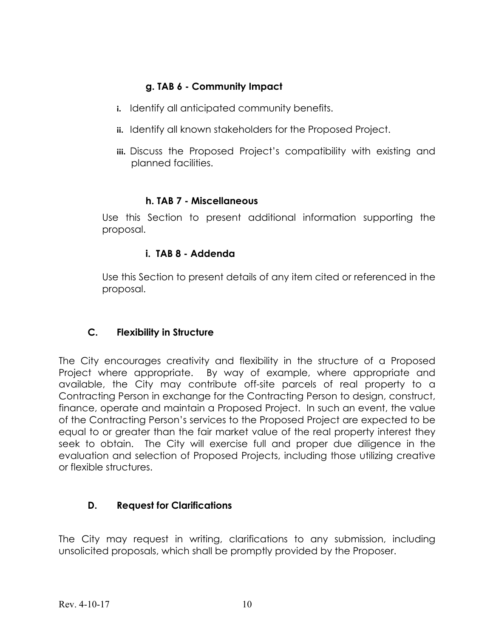# **g. TAB 6 - Community Impact**

- **i.** Identify all anticipated community benefits.
- **ii.** Identify all known stakeholders for the Proposed Project.
- **iii.** Discuss the Proposed Project's compatibility with existing and planned facilities.

### **h. TAB 7 - Miscellaneous**

Use this Section to present additional information supporting the proposal.

### **i. TAB 8 - Addenda**

Use this Section to present details of any item cited or referenced in the proposal.

# **C. Flexibility in Structure**

The City encourages creativity and flexibility in the structure of a Proposed Project where appropriate. By way of example, where appropriate and available, the City may contribute off-site parcels of real property to a Contracting Person in exchange for the Contracting Person to design, construct, finance, operate and maintain a Proposed Project. In such an event, the value of the Contracting Person's services to the Proposed Project are expected to be equal to or greater than the fair market value of the real property interest they seek to obtain. The City will exercise full and proper due diligence in the evaluation and selection of Proposed Projects, including those utilizing creative or flexible structures.

# **D. Request for Clarifications**

The City may request in writing, clarifications to any submission, including unsolicited proposals, which shall be promptly provided by the Proposer.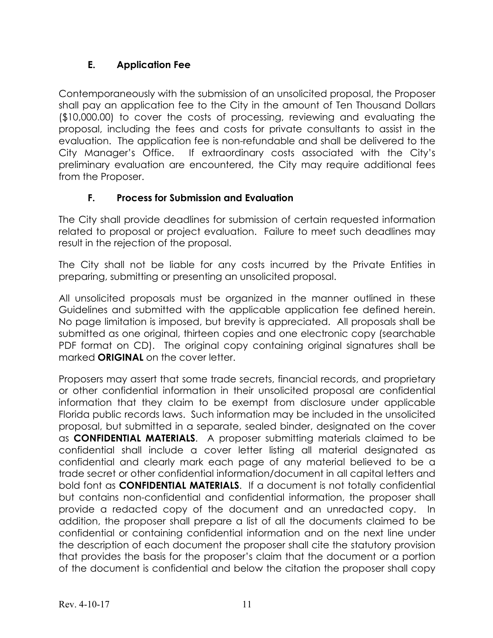# **E. Application Fee**

Contemporaneously with the submission of an unsolicited proposal, the Proposer shall pay an application fee to the City in the amount of Ten Thousand Dollars (\$10,000.00) to cover the costs of processing, reviewing and evaluating the proposal, including the fees and costs for private consultants to assist in the evaluation. The application fee is non-refundable and shall be delivered to the City Manager's Office. If extraordinary costs associated with the City's preliminary evaluation are encountered, the City may require additional fees from the Proposer.

# **F. Process for Submission and Evaluation**

The City shall provide deadlines for submission of certain requested information related to proposal or project evaluation. Failure to meet such deadlines may result in the rejection of the proposal.

The City shall not be liable for any costs incurred by the Private Entities in preparing, submitting or presenting an unsolicited proposal.

All unsolicited proposals must be organized in the manner outlined in these Guidelines and submitted with the applicable application fee defined herein. No page limitation is imposed, but brevity is appreciated. All proposals shall be submitted as one original, thirteen copies and one electronic copy (searchable PDF format on CD). The original copy containing original signatures shall be marked **ORIGINAL** on the cover letter.

Proposers may assert that some trade secrets, financial records, and proprietary or other confidential information in their unsolicited proposal are confidential information that they claim to be exempt from disclosure under applicable Florida public records laws. Such information may be included in the unsolicited proposal, but submitted in a separate, sealed binder, designated on the cover as **CONFIDENTIAL MATERIALS**. A proposer submitting materials claimed to be confidential shall include a cover letter listing all material designated as confidential and clearly mark each page of any material believed to be a trade secret or other confidential information/document in all capital letters and bold font as **CONFIDENTIAL MATERIALS**. If a document is not totally confidential but contains non-confidential and confidential information, the proposer shall provide a redacted copy of the document and an unredacted copy. In addition, the proposer shall prepare a list of all the documents claimed to be confidential or containing confidential information and on the next line under the description of each document the proposer shall cite the statutory provision that provides the basis for the proposer's claim that the document or a portion of the document is confidential and below the citation the proposer shall copy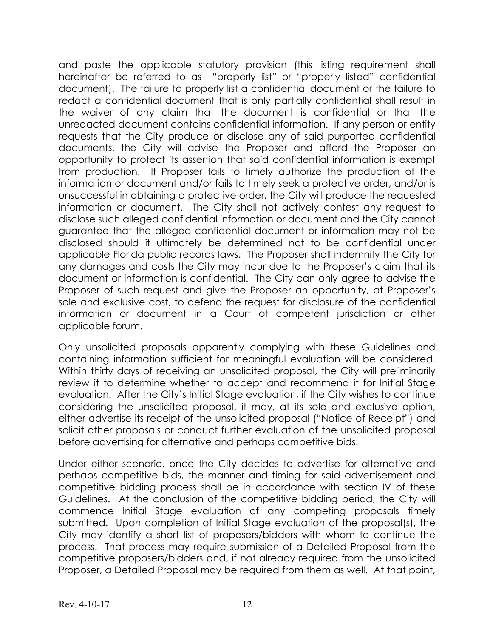and paste the applicable statutory provision (this listing requirement shall hereinafter be referred to as "properly list" or "properly listed" confidential document). The failure to properly list a confidential document or the failure to redact a confidential document that is only partially confidential shall result in the waiver of any claim that the document is confidential or that the unredacted document contains confidential information. If any person or entity requests that the City produce or disclose any of said purported confidential documents, the City will advise the Proposer and afford the Proposer an opportunity to protect its assertion that said confidential information is exempt from production. If Proposer fails to timely authorize the production of the information or document and/or fails to timely seek a protective order, and/or is unsuccessful in obtaining a protective order, the City will produce the requested information or document. The City shall not actively contest any request to disclose such alleged confidential information or document and the City cannot guarantee that the alleged confidential document or information may not be disclosed should it ultimately be determined not to be confidential under applicable Florida public records laws. The Proposer shall indemnify the City for any damages and costs the City may incur due to the Proposer's claim that its document or information is confidential. The City can only agree to advise the Proposer of such request and give the Proposer an opportunity, at Proposer's sole and exclusive cost, to defend the request for disclosure of the confidential information or document in a Court of competent jurisdiction or other applicable forum.

Only unsolicited proposals apparently complying with these Guidelines and containing information sufficient for meaningful evaluation will be considered. Within thirty days of receiving an unsolicited proposal, the City will preliminarily review it to determine whether to accept and recommend it for Initial Stage evaluation. After the City's Initial Stage evaluation, if the City wishes to continue considering the unsolicited proposal, it may, at its sole and exclusive option, either advertise its receipt of the unsolicited proposal ("Notice of Receipt") and solicit other proposals or conduct further evaluation of the unsolicited proposal before advertising for alternative and perhaps competitive bids.

Under either scenario, once the City decides to advertise for alternative and perhaps competitive bids, the manner and timing for said advertisement and competitive bidding process shall be in accordance with section IV of these Guidelines. At the conclusion of the competitive bidding period, the City will commence Initial Stage evaluation of any competing proposals timely submitted. Upon completion of Initial Stage evaluation of the proposal(s), the City may identify a short list of proposers/bidders with whom to continue the process. That process may require submission of a Detailed Proposal from the competitive proposers/bidders and, if not already required from the unsolicited Proposer, a Detailed Proposal may be required from them as well. At that point,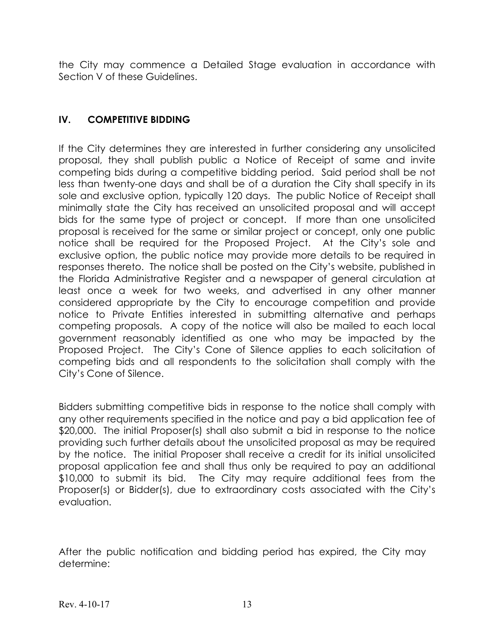the City may commence a Detailed Stage evaluation in accordance with Section V of these Guidelines.

### **IV. COMPETITIVE BIDDING**

If the City determines they are interested in further considering any unsolicited proposal, they shall publish public a Notice of Receipt of same and invite competing bids during a competitive bidding period. Said period shall be not less than twenty-one days and shall be of a duration the City shall specify in its sole and exclusive option, typically 120 days. The public Notice of Receipt shall minimally state the City has received an unsolicited proposal and will accept bids for the same type of project or concept. If more than one unsolicited proposal is received for the same or similar project or concept, only one public notice shall be required for the Proposed Project. At the City's sole and exclusive option, the public notice may provide more details to be required in responses thereto. The notice shall be posted on the City's website, published in the Florida Administrative Register and a newspaper of general circulation at least once a week for two weeks, and advertised in any other manner considered appropriate by the City to encourage competition and provide notice to Private Entities interested in submitting alternative and perhaps competing proposals. A copy of the notice will also be mailed to each local government reasonably identified as one who may be impacted by the Proposed Project. The City's Cone of Silence applies to each solicitation of competing bids and all respondents to the solicitation shall comply with the City's Cone of Silence.

Bidders submitting competitive bids in response to the notice shall comply with any other requirements specified in the notice and pay a bid application fee of \$20,000. The initial Proposer(s) shall also submit a bid in response to the notice providing such further details about the unsolicited proposal as may be required by the notice. The initial Proposer shall receive a credit for its initial unsolicited proposal application fee and shall thus only be required to pay an additional \$10,000 to submit its bid. The City may require additional fees from the Proposer(s) or Bidder(s), due to extraordinary costs associated with the City's evaluation.

After the public notification and bidding period has expired, the City may determine: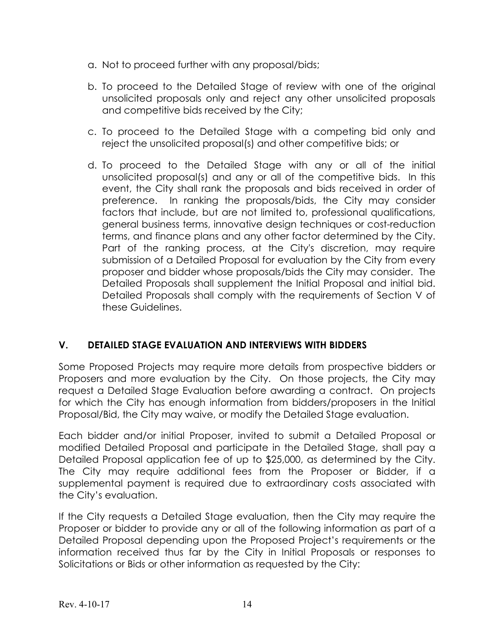- a. Not to proceed further with any proposal/bids;
- b. To proceed to the Detailed Stage of review with one of the original unsolicited proposals only and reject any other unsolicited proposals and competitive bids received by the City;
- c. To proceed to the Detailed Stage with a competing bid only and reject the unsolicited proposal(s) and other competitive bids; or
- d. To proceed to the Detailed Stage with any or all of the initial unsolicited proposal(s) and any or all of the competitive bids. In this event, the City shall rank the proposals and bids received in order of preference. In ranking the proposals/bids, the City may consider factors that include, but are not limited to, professional qualifications, general business terms, innovative design techniques or cost-reduction terms, and finance plans and any other factor determined by the City. Part of the ranking process, at the City's discretion, may require submission of a Detailed Proposal for evaluation by the City from every proposer and bidder whose proposals/bids the City may consider. The Detailed Proposals shall supplement the Initial Proposal and initial bid. Detailed Proposals shall comply with the requirements of Section V of these Guidelines.

# **V. DETAILED STAGE EVALUATION AND INTERVIEWS WITH BIDDERS**

Some Proposed Projects may require more details from prospective bidders or Proposers and more evaluation by the City. On those projects, the City may request a Detailed Stage Evaluation before awarding a contract. On projects for which the City has enough information from bidders/proposers in the Initial Proposal/Bid, the City may waive, or modify the Detailed Stage evaluation.

Each bidder and/or initial Proposer, invited to submit a Detailed Proposal or modified Detailed Proposal and participate in the Detailed Stage, shall pay a Detailed Proposal application fee of up to \$25,000, as determined by the City. The City may require additional fees from the Proposer or Bidder, if a supplemental payment is required due to extraordinary costs associated with the City's evaluation.

If the City requests a Detailed Stage evaluation, then the City may require the Proposer or bidder to provide any or all of the following information as part of a Detailed Proposal depending upon the Proposed Project's requirements or the information received thus far by the City in Initial Proposals or responses to Solicitations or Bids or other information as requested by the City: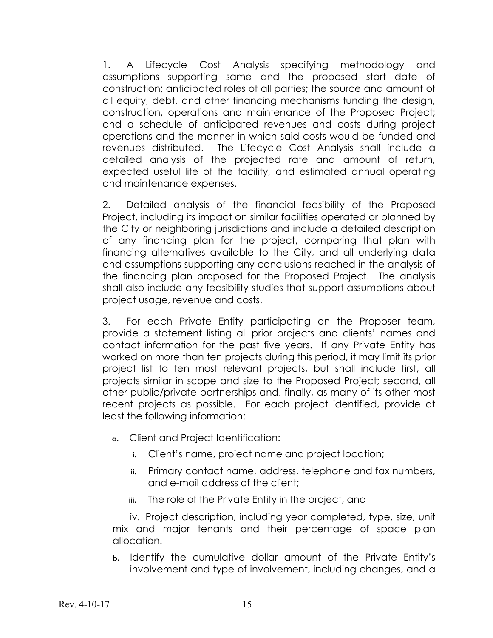1. A Lifecycle Cost Analysis specifying methodology and assumptions supporting same and the proposed start date of construction; anticipated roles of all parties; the source and amount of all equity, debt, and other financing mechanisms funding the design, construction, operations and maintenance of the Proposed Project; and a schedule of anticipated revenues and costs during project operations and the manner in which said costs would be funded and revenues distributed. The Lifecycle Cost Analysis shall include a detailed analysis of the projected rate and amount of return, expected useful life of the facility, and estimated annual operating and maintenance expenses.

2. Detailed analysis of the financial feasibility of the Proposed Project, including its impact on similar facilities operated or planned by the City or neighboring jurisdictions and include a detailed description of any financing plan for the project, comparing that plan with financing alternatives available to the City, and all underlying data and assumptions supporting any conclusions reached in the analysis of the financing plan proposed for the Proposed Project. The analysis shall also include any feasibility studies that support assumptions about project usage, revenue and costs.

3. For each Private Entity participating on the Proposer team, provide a statement listing all prior projects and clients' names and contact information for the past five years. If any Private Entity has worked on more than ten projects during this period, it may limit its prior project list to ten most relevant projects, but shall include first, all projects similar in scope and size to the Proposed Project; second, all other public/private partnerships and, finally, as many of its other most recent projects as possible. For each project identified, provide at least the following information:

- a. Client and Project Identification:
	- i. Client's name, project name and project location;
	- ii. Primary contact name, address, telephone and fax numbers, and e-mail address of the client;
	- iii. The role of the Private Entity in the project; and

iv. Project description, including year completed, type, size, unit mix and major tenants and their percentage of space plan allocation.

b. Identify the cumulative dollar amount of the Private Entity's involvement and type of involvement, including changes, and a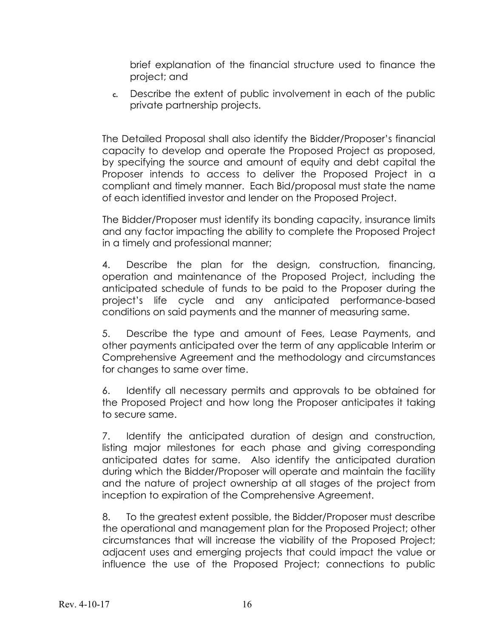brief explanation of the financial structure used to finance the project; and

c. Describe the extent of public involvement in each of the public private partnership projects.

The Detailed Proposal shall also identify the Bidder/Proposer's financial capacity to develop and operate the Proposed Project as proposed, by specifying the source and amount of equity and debt capital the Proposer intends to access to deliver the Proposed Project in a compliant and timely manner. Each Bid/proposal must state the name of each identified investor and lender on the Proposed Project.

The Bidder/Proposer must identify its bonding capacity, insurance limits and any factor impacting the ability to complete the Proposed Project in a timely and professional manner;

4. Describe the plan for the design, construction, financing, operation and maintenance of the Proposed Project, including the anticipated schedule of funds to be paid to the Proposer during the project's life cycle and any anticipated performance-based conditions on said payments and the manner of measuring same.

5. Describe the type and amount of Fees, Lease Payments, and other payments anticipated over the term of any applicable Interim or Comprehensive Agreement and the methodology and circumstances for changes to same over time.

6. Identify all necessary permits and approvals to be obtained for the Proposed Project and how long the Proposer anticipates it taking to secure same.

7. Identify the anticipated duration of design and construction, listing major milestones for each phase and giving corresponding anticipated dates for same. Also identify the anticipated duration during which the Bidder/Proposer will operate and maintain the facility and the nature of project ownership at all stages of the project from inception to expiration of the Comprehensive Agreement.

8. To the greatest extent possible, the Bidder/Proposer must describe the operational and management plan for the Proposed Project; other circumstances that will increase the viability of the Proposed Project; adjacent uses and emerging projects that could impact the value or influence the use of the Proposed Project; connections to public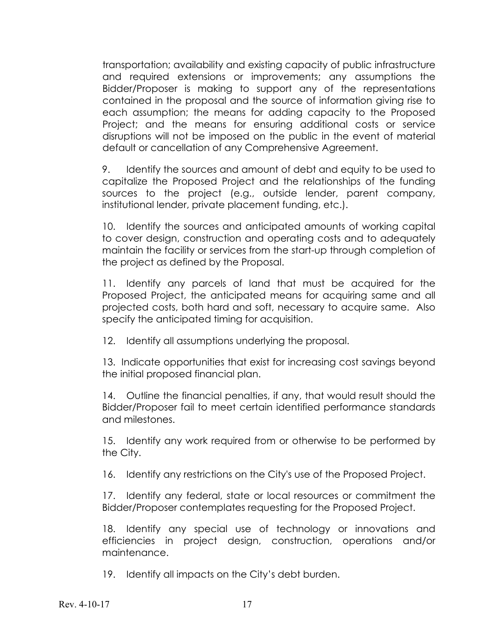transportation; availability and existing capacity of public infrastructure and required extensions or improvements; any assumptions the Bidder/Proposer is making to support any of the representations contained in the proposal and the source of information giving rise to each assumption; the means for adding capacity to the Proposed Project; and the means for ensuring additional costs or service disruptions will not be imposed on the public in the event of material default or cancellation of any Comprehensive Agreement.

9. Identify the sources and amount of debt and equity to be used to capitalize the Proposed Project and the relationships of the funding sources to the project (e.g., outside lender, parent company, institutional lender, private placement funding, etc.).

10. Identify the sources and anticipated amounts of working capital to cover design, construction and operating costs and to adequately maintain the facility or services from the start-up through completion of the project as defined by the Proposal.

11. Identify any parcels of land that must be acquired for the Proposed Project, the anticipated means for acquiring same and all projected costs, both hard and soft, necessary to acquire same. Also specify the anticipated timing for acquisition.

12. Identify all assumptions underlying the proposal.

13. Indicate opportunities that exist for increasing cost savings beyond the initial proposed financial plan.

14. Outline the financial penalties, if any, that would result should the Bidder/Proposer fail to meet certain identified performance standards and milestones.

15. Identify any work required from or otherwise to be performed by the City.

16. Identify any restrictions on the City's use of the Proposed Project.

17. Identify any federal, state or local resources or commitment the Bidder/Proposer contemplates requesting for the Proposed Project.

18. Identify any special use of technology or innovations and efficiencies in project design, construction, operations and/or maintenance.

19. Identify all impacts on the City's debt burden.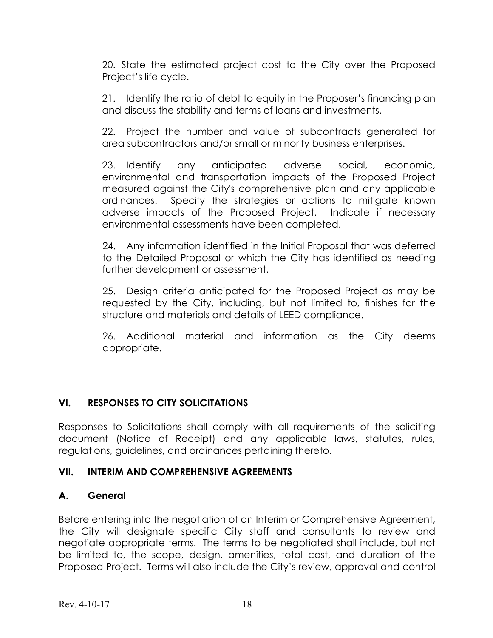20. State the estimated project cost to the City over the Proposed Project's life cycle.

21. Identify the ratio of debt to equity in the Proposer's financing plan and discuss the stability and terms of loans and investments.

22. Project the number and value of subcontracts generated for area subcontractors and/or small or minority business enterprises.

23. Identify any anticipated adverse social, economic, environmental and transportation impacts of the Proposed Project measured against the City's comprehensive plan and any applicable ordinances. Specify the strategies or actions to mitigate known adverse impacts of the Proposed Project. Indicate if necessary environmental assessments have been completed.

24. Any information identified in the Initial Proposal that was deferred to the Detailed Proposal or which the City has identified as needing further development or assessment.

25. Design criteria anticipated for the Proposed Project as may be requested by the City, including, but not limited to, finishes for the structure and materials and details of LEED compliance.

26. Additional material and information as the City deems appropriate.

# **VI. RESPONSES TO CITY SOLICITATIONS**

Responses to Solicitations shall comply with all requirements of the soliciting document (Notice of Receipt) and any applicable laws, statutes, rules, regulations, guidelines, and ordinances pertaining thereto.

# **VII. INTERIM AND COMPREHENSIVE AGREEMENTS**

#### **A. General**

Before entering into the negotiation of an Interim or Comprehensive Agreement, the City will designate specific City staff and consultants to review and negotiate appropriate terms. The terms to be negotiated shall include, but not be limited to, the scope, design, amenities, total cost, and duration of the Proposed Project. Terms will also include the City's review, approval and control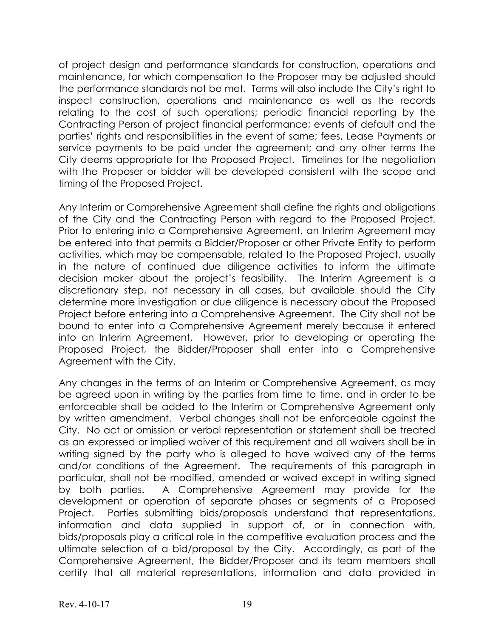of project design and performance standards for construction, operations and maintenance, for which compensation to the Proposer may be adjusted should the performance standards not be met. Terms will also include the City's right to inspect construction, operations and maintenance as well as the records relating to the cost of such operations; periodic financial reporting by the Contracting Person of project financial performance; events of default and the parties' rights and responsibilities in the event of same; fees, Lease Payments or service payments to be paid under the agreement; and any other terms the City deems appropriate for the Proposed Project. Timelines for the negotiation with the Proposer or bidder will be developed consistent with the scope and timing of the Proposed Project.

Any Interim or Comprehensive Agreement shall define the rights and obligations of the City and the Contracting Person with regard to the Proposed Project. Prior to entering into a Comprehensive Agreement, an Interim Agreement may be entered into that permits a Bidder/Proposer or other Private Entity to perform activities, which may be compensable, related to the Proposed Project, usually in the nature of continued due diligence activities to inform the ultimate decision maker about the project's feasibility. The Interim Agreement is a discretionary step, not necessary in all cases, but available should the City determine more investigation or due diligence is necessary about the Proposed Project before entering into a Comprehensive Agreement. The City shall not be bound to enter into a Comprehensive Agreement merely because it entered into an Interim Agreement. However, prior to developing or operating the Proposed Project, the Bidder/Proposer shall enter into a Comprehensive Agreement with the City.

Any changes in the terms of an Interim or Comprehensive Agreement, as may be agreed upon in writing by the parties from time to time, and in order to be enforceable shall be added to the Interim or Comprehensive Agreement only by written amendment. Verbal changes shall not be enforceable against the City. No act or omission or verbal representation or statement shall be treated as an expressed or implied waiver of this requirement and all waivers shall be in writing signed by the party who is alleged to have waived any of the terms and/or conditions of the Agreement. The requirements of this paragraph in particular, shall not be modified, amended or waived except in writing signed by both parties. A Comprehensive Agreement may provide for the development or operation of separate phases or segments of a Proposed Project. Parties submitting bids/proposals understand that representations, information and data supplied in support of, or in connection with, bids/proposals play a critical role in the competitive evaluation process and the ultimate selection of a bid/proposal by the City. Accordingly, as part of the Comprehensive Agreement, the Bidder/Proposer and its team members shall certify that all material representations, information and data provided in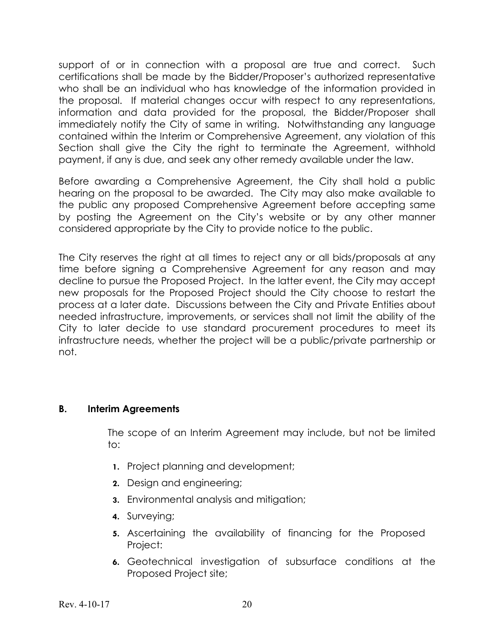support of or in connection with a proposal are true and correct. Such certifications shall be made by the Bidder/Proposer's authorized representative who shall be an individual who has knowledge of the information provided in the proposal. If material changes occur with respect to any representations, information and data provided for the proposal, the Bidder/Proposer shall immediately notify the City of same in writing. Notwithstanding any language contained within the Interim or Comprehensive Agreement, any violation of this Section shall give the City the right to terminate the Agreement, withhold payment, if any is due, and seek any other remedy available under the law.

Before awarding a Comprehensive Agreement, the City shall hold a public hearing on the proposal to be awarded. The City may also make available to the public any proposed Comprehensive Agreement before accepting same by posting the Agreement on the City's website or by any other manner considered appropriate by the City to provide notice to the public.

The City reserves the right at all times to reject any or all bids/proposals at any time before signing a Comprehensive Agreement for any reason and may decline to pursue the Proposed Project. In the latter event, the City may accept new proposals for the Proposed Project should the City choose to restart the process at a later date. Discussions between the City and Private Entities about needed infrastructure, improvements, or services shall not limit the ability of the City to later decide to use standard procurement procedures to meet its infrastructure needs, whether the project will be a public/private partnership or not.

#### **B. Interim Agreements**

The scope of an Interim Agreement may include, but not be limited to:

- **1.** Project planning and development;
- **2.** Design and engineering;
- **3.** Environmental analysis and mitigation;
- **4.** Surveying;
- **5.** Ascertaining the availability of financing for the Proposed Project:
- **6.** Geotechnical investigation of subsurface conditions at the Proposed Project site;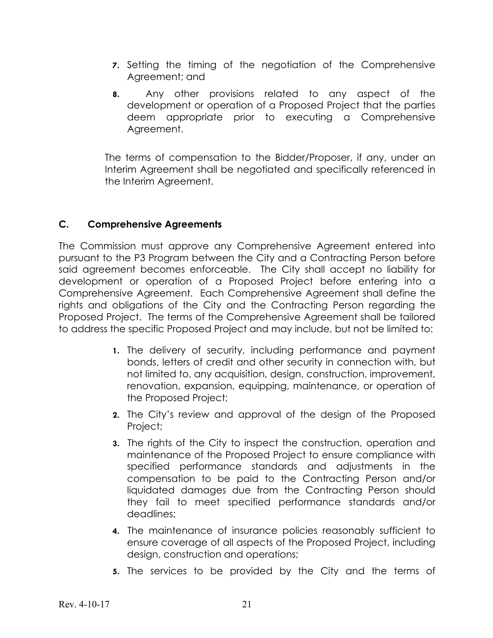- **7.** Setting the timing of the negotiation of the Comprehensive Agreement; and
- **8.** Any other provisions related to any aspect of the development or operation of a Proposed Project that the parties deem appropriate prior to executing a Comprehensive Agreement.

The terms of compensation to the Bidder/Proposer, if any, under an Interim Agreement shall be negotiated and specifically referenced in the Interim Agreement.

### **C. Comprehensive Agreements**

The Commission must approve any Comprehensive Agreement entered into pursuant to the P3 Program between the City and a Contracting Person before said agreement becomes enforceable. The City shall accept no liability for development or operation of a Proposed Project before entering into a Comprehensive Agreement. Each Comprehensive Agreement shall define the rights and obligations of the City and the Contracting Person regarding the Proposed Project. The terms of the Comprehensive Agreement shall be tailored to address the specific Proposed Project and may include, but not be limited to:

- **1.** The delivery of security, including performance and payment bonds, letters of credit and other security in connection with, but not limited to, any acquisition, design, construction, improvement, renovation, expansion, equipping, maintenance, or operation of the Proposed Project;
- **2.** The City's review and approval of the design of the Proposed Project;
- **3.** The rights of the City to inspect the construction, operation and maintenance of the Proposed Project to ensure compliance with specified performance standards and adjustments in the compensation to be paid to the Contracting Person and/or liquidated damages due from the Contracting Person should they fail to meet specified performance standards and/or deadlines;
- **4.** The maintenance of insurance policies reasonably sufficient to ensure coverage of all aspects of the Proposed Project, including design, construction and operations;
- **5.** The services to be provided by the City and the terms of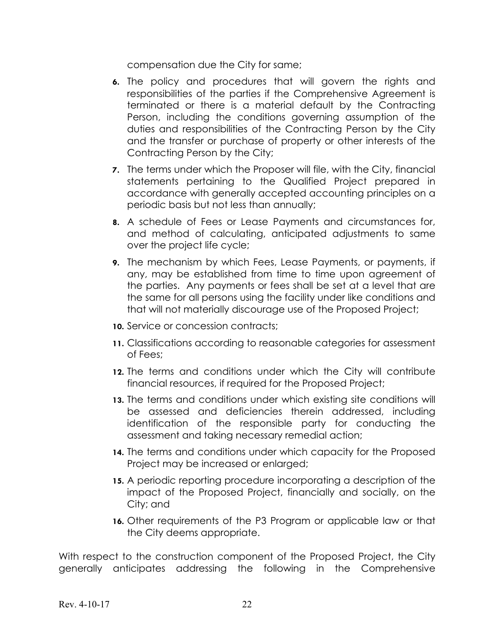compensation due the City for same;

- **6.** The policy and procedures that will govern the rights and responsibilities of the parties if the Comprehensive Agreement is terminated or there is a material default by the Contracting Person, including the conditions governing assumption of the duties and responsibilities of the Contracting Person by the City and the transfer or purchase of property or other interests of the Contracting Person by the City;
- **7.** The terms under which the Proposer will file, with the City, financial statements pertaining to the Qualified Project prepared in accordance with generally accepted accounting principles on a periodic basis but not less than annually;
- **8.** A schedule of Fees or Lease Payments and circumstances for, and method of calculating, anticipated adjustments to same over the project life cycle;
- **9.** The mechanism by which Fees, Lease Payments, or payments, if any, may be established from time to time upon agreement of the parties. Any payments or fees shall be set at a level that are the same for all persons using the facility under like conditions and that will not materially discourage use of the Proposed Project;
- **10.** Service or concession contracts:
- **11.** Classifications according to reasonable categories for assessment of Fees;
- **12.** The terms and conditions under which the City will contribute financial resources, if required for the Proposed Project;
- **13.** The terms and conditions under which existing site conditions will be assessed and deficiencies therein addressed, including identification of the responsible party for conducting the assessment and taking necessary remedial action;
- **14.** The terms and conditions under which capacity for the Proposed Project may be increased or enlarged;
- **15.** A periodic reporting procedure incorporating a description of the impact of the Proposed Project, financially and socially, on the City; and
- **16.** Other requirements of the P3 Program or applicable law or that the City deems appropriate.

With respect to the construction component of the Proposed Project, the City generally anticipates addressing the following in the Comprehensive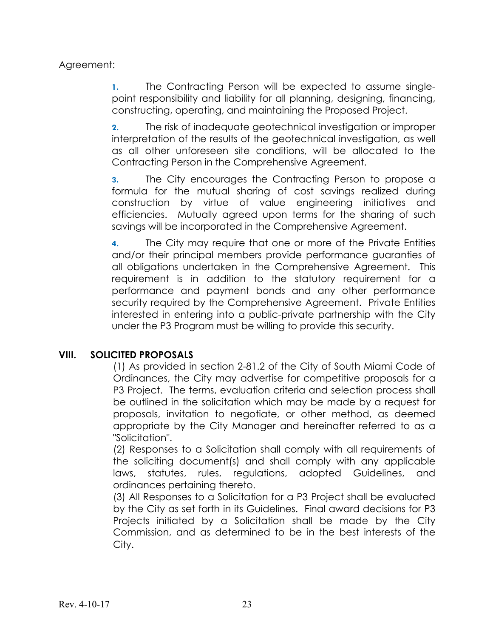Agreement:

**1.** The Contracting Person will be expected to assume singlepoint responsibility and liability for all planning, designing, financing, constructing, operating, and maintaining the Proposed Project.

**2.** The risk of inadequate geotechnical investigation or improper interpretation of the results of the geotechnical investigation, as well as all other unforeseen site conditions, will be allocated to the Contracting Person in the Comprehensive Agreement.

**3.** The City encourages the Contracting Person to propose a formula for the mutual sharing of cost savings realized during construction by virtue of value engineering initiatives and efficiencies. Mutually agreed upon terms for the sharing of such savings will be incorporated in the Comprehensive Agreement.

**4.** The City may require that one or more of the Private Entities and/or their principal members provide performance guaranties of all obligations undertaken in the Comprehensive Agreement. This requirement is in addition to the statutory requirement for a performance and payment bonds and any other performance security required by the Comprehensive Agreement. Private Entities interested in entering into a public-private partnership with the City under the P3 Program must be willing to provide this security.

# **VIII. SOLICITED PROPOSALS**

(1) As provided in section 2-81.2 of the City of South Miami Code of Ordinances, the City may advertise for competitive proposals for a P3 Project. The terms, evaluation criteria and selection process shall be outlined in the solicitation which may be made by a request for proposals, invitation to negotiate, or other method, as deemed appropriate by the City Manager and hereinafter referred to as a "Solicitation".

(2) Responses to a Solicitation shall comply with all requirements of the soliciting document(s) and shall comply with any applicable laws, statutes, rules, regulations, adopted Guidelines, and ordinances pertaining thereto.

(3) All Responses to a Solicitation for a P3 Project shall be evaluated by the City as set forth in its Guidelines. Final award decisions for P3 Projects initiated by a Solicitation shall be made by the City Commission, and as determined to be in the best interests of the City.